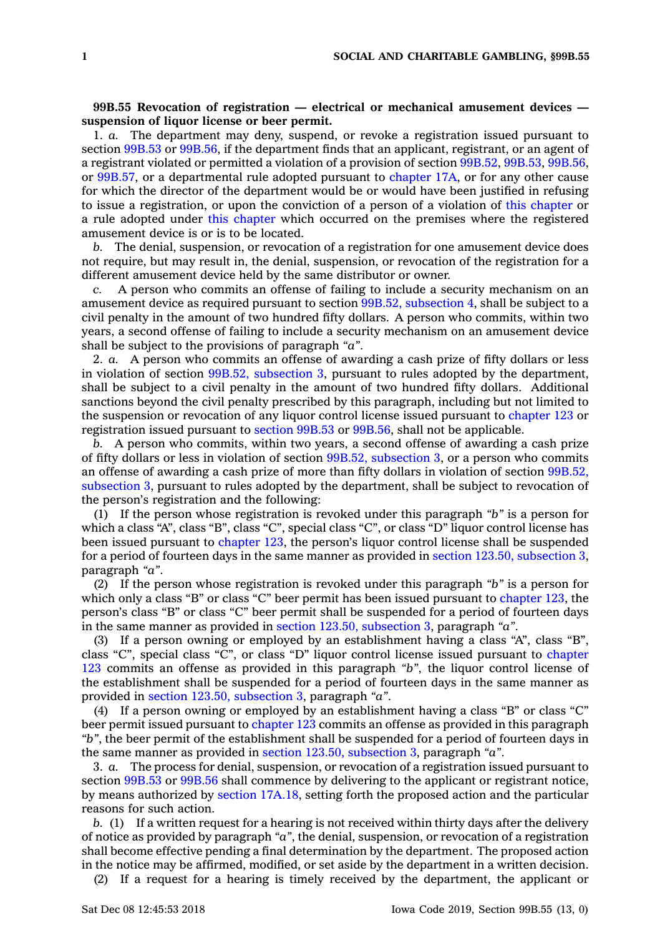## **99B.55 Revocation of registration — electrical or mechanical amusement devices suspension of liquor license or beer permit.**

1. *a.* The department may deny, suspend, or revoke <sup>a</sup> registration issued pursuant to section [99B.53](https://www.legis.iowa.gov/docs/code/99B.53.pdf) or [99B.56](https://www.legis.iowa.gov/docs/code/99B.56.pdf), if the department finds that an applicant, registrant, or an agent of <sup>a</sup> registrant violated or permitted <sup>a</sup> violation of <sup>a</sup> provision of section [99B.52](https://www.legis.iowa.gov/docs/code/99B.52.pdf), [99B.53](https://www.legis.iowa.gov/docs/code/99B.53.pdf), [99B.56](https://www.legis.iowa.gov/docs/code/99B.56.pdf), or [99B.57](https://www.legis.iowa.gov/docs/code/99B.57.pdf), or <sup>a</sup> departmental rule adopted pursuant to [chapter](https://www.legis.iowa.gov/docs/code//17A.pdf) 17A, or for any other cause for which the director of the department would be or would have been justified in refusing to issue <sup>a</sup> registration, or upon the conviction of <sup>a</sup> person of <sup>a</sup> violation of this [chapter](https://www.legis.iowa.gov/docs/code//99B.pdf) or <sup>a</sup> rule adopted under this [chapter](https://www.legis.iowa.gov/docs/code//99B.pdf) which occurred on the premises where the registered amusement device is or is to be located.

*b.* The denial, suspension, or revocation of <sup>a</sup> registration for one amusement device does not require, but may result in, the denial, suspension, or revocation of the registration for <sup>a</sup> different amusement device held by the same distributor or owner.

*c.* A person who commits an offense of failing to include <sup>a</sup> security mechanism on an amusement device as required pursuant to section 99B.52, [subsection](https://www.legis.iowa.gov/docs/code/99B.52.pdf) 4, shall be subject to <sup>a</sup> civil penalty in the amount of two hundred fifty dollars. A person who commits, within two years, <sup>a</sup> second offense of failing to include <sup>a</sup> security mechanism on an amusement device shall be subject to the provisions of paragraph *"a"*.

2. *a.* A person who commits an offense of awarding <sup>a</sup> cash prize of fifty dollars or less in violation of section 99B.52, [subsection](https://www.legis.iowa.gov/docs/code/99B.52.pdf) 3, pursuant to rules adopted by the department, shall be subject to <sup>a</sup> civil penalty in the amount of two hundred fifty dollars. Additional sanctions beyond the civil penalty prescribed by this paragraph, including but not limited to the suspension or revocation of any liquor control license issued pursuant to [chapter](https://www.legis.iowa.gov/docs/code//123.pdf) 123 or registration issued pursuant to [section](https://www.legis.iowa.gov/docs/code/99B.53.pdf) 99B.53 or [99B.56](https://www.legis.iowa.gov/docs/code/99B.56.pdf), shall not be applicable.

*b.* A person who commits, within two years, <sup>a</sup> second offense of awarding <sup>a</sup> cash prize of fifty dollars or less in violation of section 99B.52, [subsection](https://www.legis.iowa.gov/docs/code/99B.52.pdf) 3, or <sup>a</sup> person who commits an offense of awarding <sup>a</sup> cash prize of more than fifty dollars in violation of section [99B.52,](https://www.legis.iowa.gov/docs/code/99B.52.pdf) [subsection](https://www.legis.iowa.gov/docs/code/99B.52.pdf) 3, pursuant to rules adopted by the department, shall be subject to revocation of the person's registration and the following:

(1) If the person whose registration is revoked under this paragraph *"b"* is <sup>a</sup> person for which <sup>a</sup> class "A", class "B", class "C", special class "C", or class "D" liquor control license has been issued pursuant to [chapter](https://www.legis.iowa.gov/docs/code//123.pdf) 123, the person's liquor control license shall be suspended for <sup>a</sup> period of fourteen days in the same manner as provided in section 123.50, [subsection](https://www.legis.iowa.gov/docs/code/123.50.pdf) 3, paragraph *"a"*.

(2) If the person whose registration is revoked under this paragraph *"b"* is <sup>a</sup> person for which only a class "B" or class "C" beer permit has been issued pursuant to [chapter](https://www.legis.iowa.gov/docs/code//123.pdf) 123, the person's class "B" or class "C" beer permit shall be suspended for <sup>a</sup> period of fourteen days in the same manner as provided in section 123.50, [subsection](https://www.legis.iowa.gov/docs/code/123.50.pdf) 3, paragraph *"a"*.

(3) If <sup>a</sup> person owning or employed by an establishment having <sup>a</sup> class "A", class "B", class "C", special class "C", or class "D" liquor control license issued pursuant to [chapter](https://www.legis.iowa.gov/docs/code//123.pdf) [123](https://www.legis.iowa.gov/docs/code//123.pdf) commits an offense as provided in this paragraph *"b"*, the liquor control license of the establishment shall be suspended for <sup>a</sup> period of fourteen days in the same manner as provided in section 123.50, [subsection](https://www.legis.iowa.gov/docs/code/123.50.pdf) 3, paragraph *"a"*.

(4) If <sup>a</sup> person owning or employed by an establishment having <sup>a</sup> class "B" or class "C" beer permit issued pursuant to [chapter](https://www.legis.iowa.gov/docs/code//123.pdf) 123 commits an offense as provided in this paragraph *"b"*, the beer permit of the establishment shall be suspended for <sup>a</sup> period of fourteen days in the same manner as provided in section 123.50, [subsection](https://www.legis.iowa.gov/docs/code/123.50.pdf) 3, paragraph *"a"*.

3. *a.* The process for denial, suspension, or revocation of <sup>a</sup> registration issued pursuant to section [99B.53](https://www.legis.iowa.gov/docs/code/99B.53.pdf) or [99B.56](https://www.legis.iowa.gov/docs/code/99B.56.pdf) shall commence by delivering to the applicant or registrant notice, by means authorized by section [17A.18](https://www.legis.iowa.gov/docs/code/17A.18.pdf), setting forth the proposed action and the particular reasons for such action.

*b.* (1) If <sup>a</sup> written request for <sup>a</sup> hearing is not received within thirty days after the delivery of notice as provided by paragraph *"a"*, the denial, suspension, or revocation of <sup>a</sup> registration shall become effective pending <sup>a</sup> final determination by the department. The proposed action in the notice may be affirmed, modified, or set aside by the department in <sup>a</sup> written decision.

(2) If <sup>a</sup> request for <sup>a</sup> hearing is timely received by the department, the applicant or